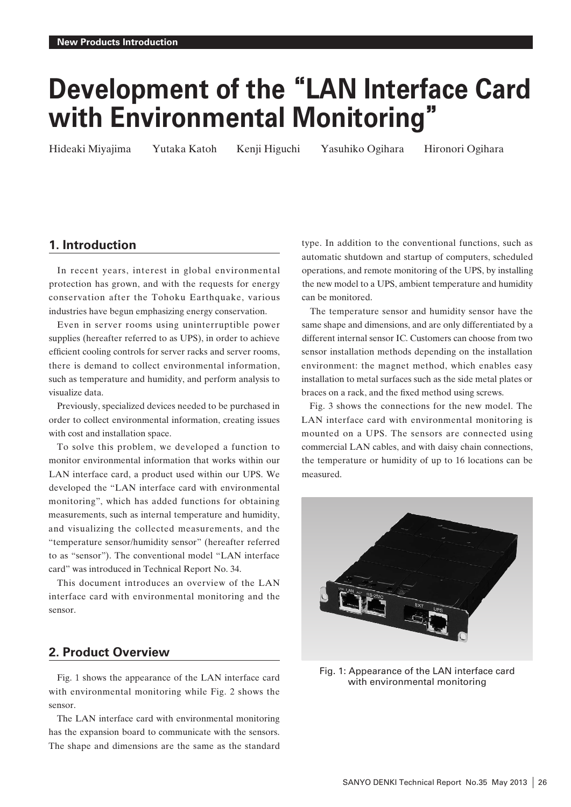# **Development of the"LAN Interface Card with Environmental Monitoring "**

Hideaki Miyajima Yutaka Katoh Kenji Higuchi Yasuhiko Ogihara Hironori Ogihara

# **1. Introduction**

In recent years, interest in global environmental protection has grown, and with the requests for energy conservation after the Tohoku Earthquake, various industries have begun emphasizing energy conservation.

Even in server rooms using uninterruptible power supplies (hereafter referred to as UPS), in order to achieve efficient cooling controls for server racks and server rooms, there is demand to collect environmental information, such as temperature and humidity, and perform analysis to visualize data.

Previously, specialized devices needed to be purchased in order to collect environmental information, creating issues with cost and installation space.

To solve this problem, we developed a function to monitor environmental information that works within our LAN interface card, a product used within our UPS. We developed the "LAN interface card with environmental monitoring", which has added functions for obtaining measurements, such as internal temperature and humidity, and visualizing the collected measurements, and the "temperature sensor/humidity sensor" (hereafter referred to as "sensor"). The conventional model "LAN interface card" was introduced in Technical Report No. 34.

This document introduces an overview of the LAN interface card with environmental monitoring and the sensor.

# **2. Product Overview**

Fig. 1 shows the appearance of the LAN interface card with environmental monitoring while Fig. 2 shows the sensor.

The LAN interface card with environmental monitoring has the expansion board to communicate with the sensors. The shape and dimensions are the same as the standard type. In addition to the conventional functions, such as automatic shutdown and startup of computers, scheduled operations, and remote monitoring of the UPS, by installing the new model to a UPS, ambient temperature and humidity can be monitored.

The temperature sensor and humidity sensor have the same shape and dimensions, and are only differentiated by a different internal sensor IC. Customers can choose from two sensor installation methods depending on the installation environment: the magnet method, which enables easy installation to metal surfaces such as the side metal plates or braces on a rack, and the fixed method using screws.

Fig. 3 shows the connections for the new model. The LAN interface card with environmental monitoring is mounted on a UPS. The sensors are connected using commercial LAN cables, and with daisy chain connections, the temperature or humidity of up to 16 locations can be measured.



Fig. 1: Appearance of the LAN interface card with environmental monitoring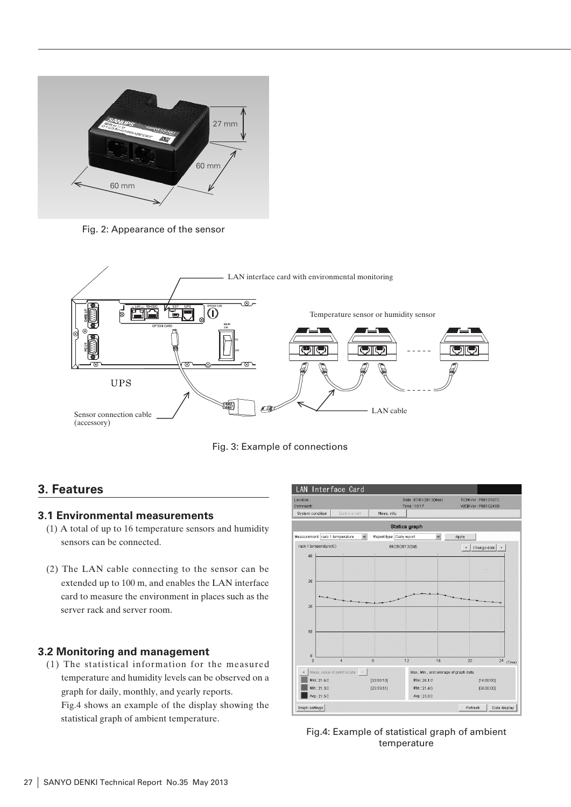

Fig. 2: Appearance of the sensor





# **3. Features**

## **3.1 Environmental measurements**

- (1) A total of up to 16 temperature sensors and humidity sensors can be connected.
- (2) The LAN cable connecting to the sensor can be extended up to 100 m, and enables the LAN interface card to measure the environment in places such as the server rack and server room.

## **3.2 Monitoring and management**

(1) The statistical information for the measured temperature and humidity levels can be observed on a graph for daily, monthly, and yearly reports. Fig.4 shows an example of the display showing the statistical graph of ambient temperature.



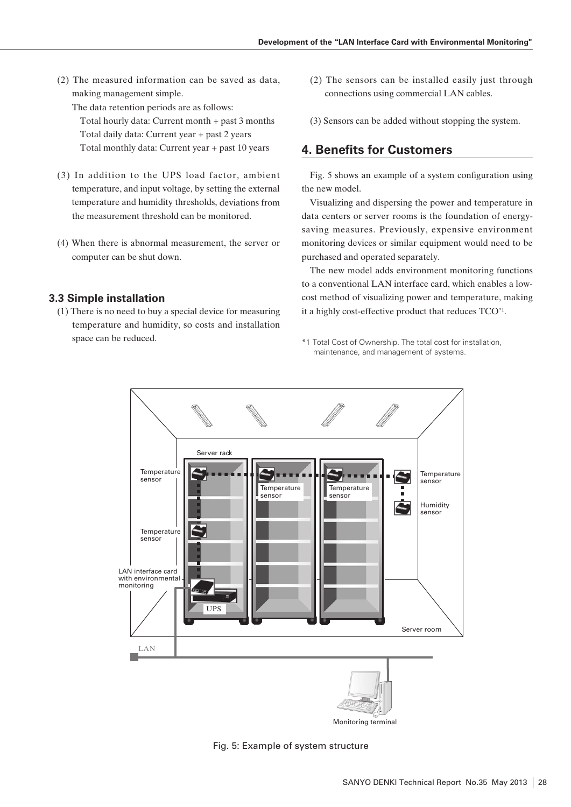- (2) The measured information can be saved as data, making management simple.
	- The data retention periods are as follows:

Total hourly data: Current month + past 3 months Total daily data: Current year + past 2 years Total monthly data: Current year + past 10 years

- (3) In addition to the UPS load factor, ambient temperature, and input voltage, by setting the external temperature and humidity thresholds, deviations from the measurement threshold can be monitored.
- (4) When there is abnormal measurement, the server or computer can be shut down.

## **3.3 Simple installation**

(1) There is no need to buy a special device for measuring temperature and humidity, so costs and installation space can be reduced.

- (2) The sensors can be installed easily just through connections using commercial LAN cables.
- (3) Sensors can be added without stopping the system.

# **4. Benefits for Customers**

Fig. 5 shows an example of a system configuration using the new model.

Visualizing and dispersing the power and temperature in data centers or server rooms is the foundation of energysaving measures. Previously, expensive environment monitoring devices or similar equipment would need to be purchased and operated separately.

The new model adds environment monitoring functions to a conventional LAN interface card, which enables a lowcost method of visualizing power and temperature, making it a highly cost-effective product that reduces TCO\*1.

\*1 Total Cost of Ownership. The total cost for installation, maintenance, and management of systems.



Fig. 5: Example of system structure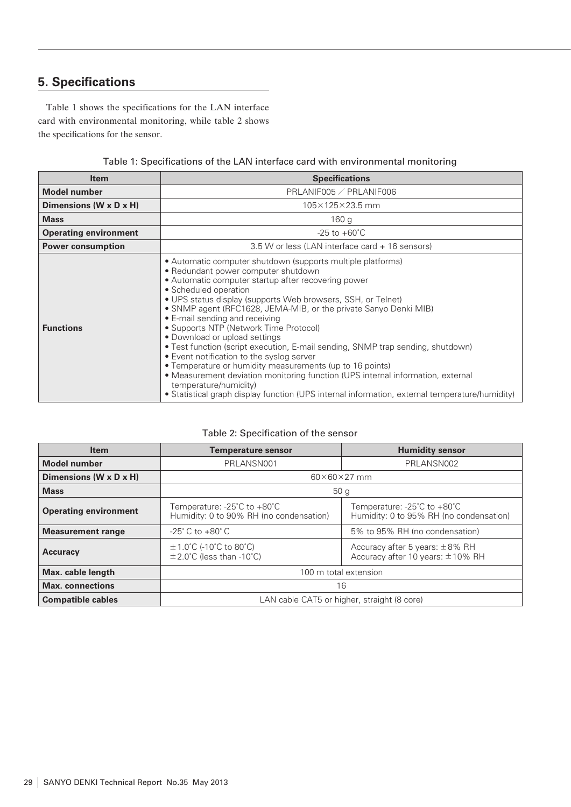# **5. Specifications**

Table 1 shows the specifications for the LAN interface card with environmental monitoring, while table 2 shows the specifications for the sensor.

Table 1: Specifications of the LAN interface card with environmental monitoring

| <b>Item</b>                  | <b>Specifications</b>                                                                                                                                                                                                                                                                                                                                                                                                                                                                                                                                                                                                                                                                                                                                                                                                                         |  |
|------------------------------|-----------------------------------------------------------------------------------------------------------------------------------------------------------------------------------------------------------------------------------------------------------------------------------------------------------------------------------------------------------------------------------------------------------------------------------------------------------------------------------------------------------------------------------------------------------------------------------------------------------------------------------------------------------------------------------------------------------------------------------------------------------------------------------------------------------------------------------------------|--|
| <b>Model number</b>          | PRLANIF005 / PRLANIF006                                                                                                                                                                                                                                                                                                                                                                                                                                                                                                                                                                                                                                                                                                                                                                                                                       |  |
| Dimensions (W x D x H)       | 105×125×23.5 mm                                                                                                                                                                                                                                                                                                                                                                                                                                                                                                                                                                                                                                                                                                                                                                                                                               |  |
| <b>Mass</b>                  | 160 <sub>g</sub>                                                                                                                                                                                                                                                                                                                                                                                                                                                                                                                                                                                                                                                                                                                                                                                                                              |  |
| <b>Operating environment</b> | $-25$ to $+60^{\circ}$ C                                                                                                                                                                                                                                                                                                                                                                                                                                                                                                                                                                                                                                                                                                                                                                                                                      |  |
| <b>Power consumption</b>     | 3.5 W or less (LAN interface card + 16 sensors)                                                                                                                                                                                                                                                                                                                                                                                                                                                                                                                                                                                                                                                                                                                                                                                               |  |
| <b>Functions</b>             | • Automatic computer shutdown (supports multiple platforms)<br>• Redundant power computer shutdown<br>• Automatic computer startup after recovering power<br>• Scheduled operation<br>• UPS status display (supports Web browsers, SSH, or Telnet)<br>• SNMP agent (RFC1628, JEMA-MIB, or the private Sanyo Denki MIB)<br>• E-mail sending and receiving<br>• Supports NTP (Network Time Protocol)<br>• Download or upload settings<br>• Test function (script execution, E-mail sending, SNMP trap sending, shutdown)<br>• Event notification to the syslog server<br>• Temperature or humidity measurements (up to 16 points)<br>• Measurement deviation monitoring function (UPS internal information, external<br>temperature/humidity)<br>• Statistical graph display function (UPS internal information, external temperature/humidity) |  |

## Table 2: Specification of the sensor

| <b>Item</b>                  | <b>Temperature sensor</b>                                              | <b>Humidity sensor</b>                                                       |  |
|------------------------------|------------------------------------------------------------------------|------------------------------------------------------------------------------|--|
| <b>Model number</b>          | PRLANSN001                                                             | PRLANSN002                                                                   |  |
| Dimensions (W x D x H)       | $60\times60\times27$ mm                                                |                                                                              |  |
| <b>Mass</b>                  | 50 <sub>q</sub>                                                        |                                                                              |  |
| <b>Operating environment</b> | Temperature: -25°C to +80°C<br>Humidity: 0 to 90% RH (no condensation) | Temperature: -25°C to +80°C<br>Humidity: 0 to 95% RH (no condensation)       |  |
| <b>Measurement range</b>     | $-25^{\circ}$ C to $+80^{\circ}$ C                                     | 5% to 95% RH (no condensation)                                               |  |
| <b>Accuracy</b>              | $\pm$ 1.0°C (-10°C to 80°C)<br>$\pm$ 2.0°C (less than -10°C)           | Accuracy after 5 years: $\pm$ 8% RH<br>Accuracy after 10 years: $\pm$ 10% RH |  |
| Max. cable length            | 100 m total extension                                                  |                                                                              |  |
| <b>Max.</b> connections      | 16                                                                     |                                                                              |  |
| <b>Compatible cables</b>     | LAN cable CAT5 or higher, straight (8 core)                            |                                                                              |  |